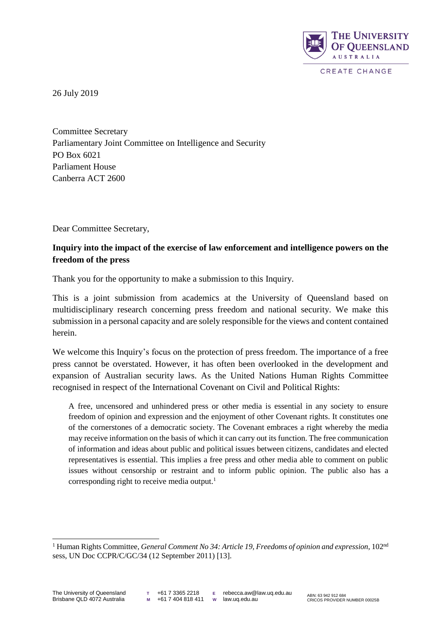

26 July 2019

Committee Secretary Parliamentary Joint Committee on Intelligence and Security PO Box 6021 Parliament House Canberra ACT 2600

Dear Committee Secretary,

# **Inquiry into the impact of the exercise of law enforcement and intelligence powers on the freedom of the press**

Thank you for the opportunity to make a submission to this Inquiry.

This is a joint submission from academics at the University of Queensland based on multidisciplinary research concerning press freedom and national security. We make this submission in a personal capacity and are solely responsible for the views and content contained herein.

We welcome this Inquiry's focus on the protection of press freedom. The importance of a free press cannot be overstated. However, it has often been overlooked in the development and expansion of Australian security laws. As the United Nations Human Rights Committee recognised in respect of the International Covenant on Civil and Political Rights:

A free, uncensored and unhindered press or other media is essential in any society to ensure freedom of opinion and expression and the enjoyment of other Covenant rights. It constitutes one of the cornerstones of a democratic society. The Covenant embraces a right whereby the media may receive information on the basis of which it can carry out its function. The free communication of information and ideas about public and political issues between citizens, candidates and elected representatives is essential. This implies a free press and other media able to comment on public issues without censorship or restraint and to inform public opinion. The public also has a corresponding right to receive media output.<sup>1</sup>

<sup>1</sup> Human Rights Committee, *General Comment No 34: Article 19, Freedoms of opinion and expression*, 102nd sess, UN Doc CCPR/C/GC/34 (12 September 2011) [13].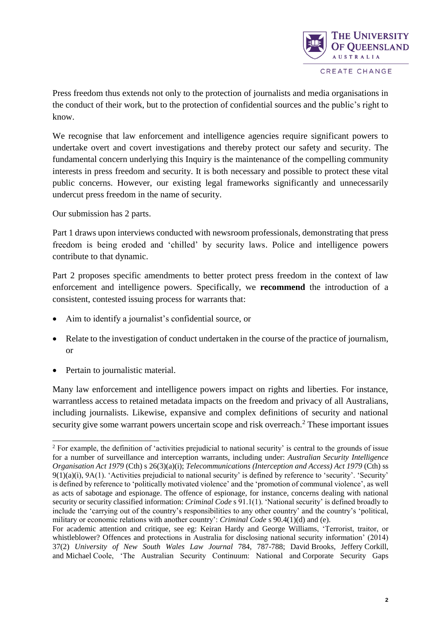

Press freedom thus extends not only to the protection of journalists and media organisations in the conduct of their work, but to the protection of confidential sources and the public's right to know.

We recognise that law enforcement and intelligence agencies require significant powers to undertake overt and covert investigations and thereby protect our safety and security. The fundamental concern underlying this Inquiry is the maintenance of the compelling community interests in press freedom and security. It is both necessary and possible to protect these vital public concerns. However, our existing legal frameworks significantly and unnecessarily undercut press freedom in the name of security.

Our submission has 2 parts.

Part 1 draws upon interviews conducted with newsroom professionals, demonstrating that press freedom is being eroded and 'chilled' by security laws. Police and intelligence powers contribute to that dynamic.

Part 2 proposes specific amendments to better protect press freedom in the context of law enforcement and intelligence powers. Specifically, we **recommend** the introduction of a consistent, contested issuing process for warrants that:

- Aim to identify a journalist's confidential source, or
- Relate to the investigation of conduct undertaken in the course of the practice of journalism, or
- Pertain to journalistic material.

Many law enforcement and intelligence powers impact on rights and liberties. For instance, warrantless access to retained metadata impacts on the freedom and privacy of all Australians, including journalists. Likewise, expansive and complex definitions of security and national security give some warrant powers uncertain scope and risk overreach.<sup>2</sup> These important issues

l <sup>2</sup> For example, the definition of 'activities prejudicial to national security' is central to the grounds of issue for a number of surveillance and interception warrants, including under: *Australian Security Intelligence Organisation Act 1979* (Cth) s 26(3)(a)(i); *Telecommunications (Interception and Access) Act 1979* (Cth) ss  $9(1)(a)(i)$ ,  $9A(1)$ . 'Activities prejudicial to national security' is defined by reference to 'security'. 'Security' is defined by reference to 'politically motivated violence' and the 'promotion of communal violence', as well as acts of sabotage and espionage. The offence of espionage, for instance, concerns dealing with national security or security classified information: *Criminal Code* s 91.1(1). 'National security' is defined broadly to include the 'carrying out of the country's responsibilities to any other country' and the country's 'political, military or economic relations with another country': *Criminal Code* s 90.4(1)(d) and (e).

For academic attention and critique, see eg: Keiran Hardy and George Williams, 'Terrorist, traitor, or whistleblower? Offences and protections in Australia for disclosing national security information' (2014) 37(2) *University of New South Wales Law Journal* 784, 787-788; David Brooks, Jeffery Corkill, and Michael Coole, 'The Australian Security Continuum: National and Corporate Security Gaps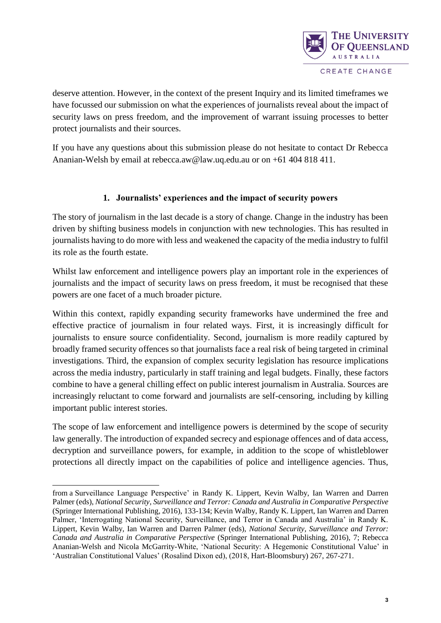

deserve attention. However, in the context of the present Inquiry and its limited timeframes we have focussed our submission on what the experiences of journalists reveal about the impact of security laws on press freedom, and the improvement of warrant issuing processes to better protect journalists and their sources.

If you have any questions about this submission please do not hesitate to contact Dr Rebecca Ananian-Welsh by email at rebecca.aw@law.uq.edu.au or on +61 404 818 411.

## **1. Journalists' experiences and the impact of security powers**

The story of journalism in the last decade is a story of change. Change in the industry has been driven by shifting business models in conjunction with new technologies. This has resulted in journalists having to do more with less and weakened the capacity of the media industry to fulfil its role as the fourth estate.

Whilst law enforcement and intelligence powers play an important role in the experiences of journalists and the impact of security laws on press freedom, it must be recognised that these powers are one facet of a much broader picture.

Within this context, rapidly expanding security frameworks have undermined the free and effective practice of journalism in four related ways. First, it is increasingly difficult for journalists to ensure source confidentiality. Second, journalism is more readily captured by broadly framed security offences so that journalists face a real risk of being targeted in criminal investigations. Third, the expansion of complex security legislation has resource implications across the media industry, particularly in staff training and legal budgets. Finally, these factors combine to have a general chilling effect on public interest journalism in Australia. Sources are increasingly reluctant to come forward and journalists are self-censoring, including by killing important public interest stories.

The scope of law enforcement and intelligence powers is determined by the scope of security law generally. The introduction of expanded secrecy and espionage offences and of data access, decryption and surveillance powers, for example, in addition to the scope of whistleblower protections all directly impact on the capabilities of police and intelligence agencies. Thus,

l from a Surveillance Language Perspective' in Randy K. Lippert, Kevin Walby, Ian Warren and Darren Palmer (eds), *National Security, Surveillance and Terror: Canada and Australia in Comparative Perspective* (Springer International Publishing, 2016), 133-134; Kevin Walby, Randy K. Lippert, Ian Warren and Darren Palmer, 'Interrogating National Security, Surveillance, and Terror in Canada and Australia' in Randy K. Lippert, Kevin Walby, Ian Warren and Darren Palmer (eds), *National Security, Surveillance and Terror: Canada and Australia in Comparative Perspective* (Springer International Publishing, 2016), 7; Rebecca Ananian-Welsh and Nicola McGarrity-White, 'National Security: A Hegemonic Constitutional Value' in 'Australian Constitutional Values' (Rosalind Dixon ed), (2018, Hart-Bloomsbury) 267, 267-271.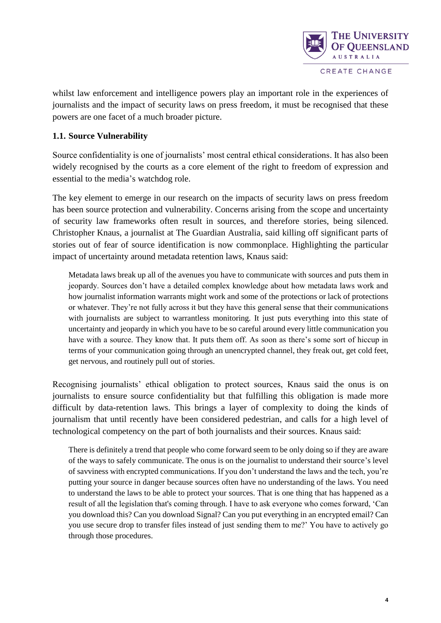

whilst law enforcement and intelligence powers play an important role in the experiences of journalists and the impact of security laws on press freedom, it must be recognised that these powers are one facet of a much broader picture.

### **1.1. Source Vulnerability**

Source confidentiality is one of journalists' most central ethical considerations. It has also been widely recognised by the courts as a core element of the right to freedom of expression and essential to the media's watchdog role.

The key element to emerge in our research on the impacts of security laws on press freedom has been source protection and vulnerability. Concerns arising from the scope and uncertainty of security law frameworks often result in sources, and therefore stories, being silenced. Christopher Knaus, a journalist at The Guardian Australia, said killing off significant parts of stories out of fear of source identification is now commonplace. Highlighting the particular impact of uncertainty around metadata retention laws, Knaus said:

Metadata laws break up all of the avenues you have to communicate with sources and puts them in jeopardy. Sources don't have a detailed complex knowledge about how metadata laws work and how journalist information warrants might work and some of the protections or lack of protections or whatever. They're not fully across it but they have this general sense that their communications with journalists are subject to warrantless monitoring. It just puts everything into this state of uncertainty and jeopardy in which you have to be so careful around every little communication you have with a source. They know that. It puts them off. As soon as there's some sort of hiccup in terms of your communication going through an unencrypted channel, they freak out, get cold feet, get nervous, and routinely pull out of stories.

Recognising journalists' ethical obligation to protect sources, Knaus said the onus is on journalists to ensure source confidentiality but that fulfilling this obligation is made more difficult by data-retention laws. This brings a layer of complexity to doing the kinds of journalism that until recently have been considered pedestrian, and calls for a high level of technological competency on the part of both journalists and their sources. Knaus said:

There is definitely a trend that people who come forward seem to be only doing so if they are aware of the ways to safely communicate. The onus is on the journalist to understand their source's level of savviness with encrypted communications. If you don't understand the laws and the tech, you're putting your source in danger because sources often have no understanding of the laws. You need to understand the laws to be able to protect your sources. That is one thing that has happened as a result of all the legislation that's coming through. I have to ask everyone who comes forward, 'Can you download this? Can you download Signal? Can you put everything in an encrypted email? Can you use secure drop to transfer files instead of just sending them to me?' You have to actively go through those procedures.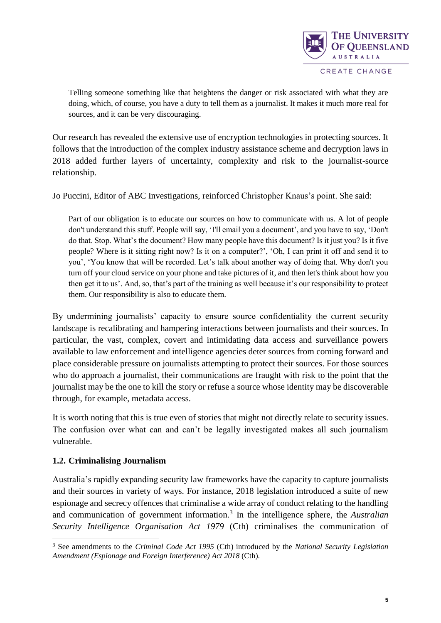

Telling someone something like that heightens the danger or risk associated with what they are doing, which, of course, you have a duty to tell them as a journalist. It makes it much more real for sources, and it can be very discouraging.

Our research has revealed the extensive use of encryption technologies in protecting sources. It follows that the introduction of the complex industry assistance scheme and decryption laws in 2018 added further layers of uncertainty, complexity and risk to the journalist-source relationship.

Jo Puccini, Editor of ABC Investigations, reinforced Christopher Knaus's point. She said:

Part of our obligation is to educate our sources on how to communicate with us. A lot of people don't understand this stuff. People will say, 'I'll email you a document', and you have to say, 'Don't do that. Stop. What's the document? How many people have this document? Is it just you? Is it five people? Where is it sitting right now? Is it on a computer?', 'Oh, I can print it off and send it to you', 'You know that will be recorded. Let's talk about another way of doing that. Why don't you turn off your cloud service on your phone and take pictures of it, and then let's think about how you then get it to us'. And, so, that's part of the training as well because it's our responsibility to protect them. Our responsibility is also to educate them.

By undermining journalists' capacity to ensure source confidentiality the current security landscape is recalibrating and hampering interactions between journalists and their sources. In particular, the vast, complex, covert and intimidating data access and surveillance powers available to law enforcement and intelligence agencies deter sources from coming forward and place considerable pressure on journalists attempting to protect their sources. For those sources who do approach a journalist, their communications are fraught with risk to the point that the journalist may be the one to kill the story or refuse a source whose identity may be discoverable through, for example, metadata access.

It is worth noting that this is true even of stories that might not directly relate to security issues. The confusion over what can and can't be legally investigated makes all such journalism vulnerable.

### **1.2. Criminalising Journalism**

l

Australia's rapidly expanding security law frameworks have the capacity to capture journalists and their sources in variety of ways. For instance, 2018 legislation introduced a suite of new espionage and secrecy offences that criminalise a wide array of conduct relating to the handling and communication of government information.<sup>3</sup> In the intelligence sphere, the *Australian Security Intelligence Organisation Act 1979* (Cth) criminalises the communication of

<sup>3</sup> See amendments to the *Criminal Code Act 1995* (Cth) introduced by the *National Security Legislation Amendment (Espionage and Foreign Interference) Act 2018* (Cth).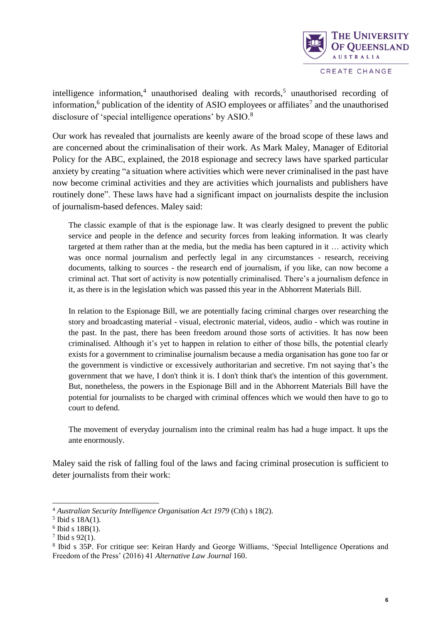

intelligence information,<sup>4</sup> unauthorised dealing with records,<sup>5</sup> unauthorised recording of information,<sup>6</sup> publication of the identity of ASIO employees or affiliates<sup>7</sup> and the unauthorised disclosure of 'special intelligence operations' by ASIO.<sup>8</sup>

Our work has revealed that journalists are keenly aware of the broad scope of these laws and are concerned about the criminalisation of their work. As Mark Maley, Manager of Editorial Policy for the ABC, explained, the 2018 espionage and secrecy laws have sparked particular anxiety by creating "a situation where activities which were never criminalised in the past have now become criminal activities and they are activities which journalists and publishers have routinely done". These laws have had a significant impact on journalists despite the inclusion of journalism-based defences. Maley said:

The classic example of that is the espionage law. It was clearly designed to prevent the public service and people in the defence and security forces from leaking information. It was clearly targeted at them rather than at the media, but the media has been captured in it … activity which was once normal journalism and perfectly legal in any circumstances - research, receiving documents, talking to sources - the research end of journalism, if you like, can now become a criminal act. That sort of activity is now potentially criminalised. There's a journalism defence in it, as there is in the legislation which was passed this year in the Abhorrent Materials Bill.

In relation to the Espionage Bill, we are potentially facing criminal charges over researching the story and broadcasting material - visual, electronic material, videos, audio - which was routine in the past. In the past, there has been freedom around those sorts of activities. It has now been criminalised. Although it's yet to happen in relation to either of those bills, the potential clearly exists for a government to criminalise journalism because a media organisation has gone too far or the government is vindictive or excessively authoritarian and secretive. I'm not saying that's the government that we have, I don't think it is. I don't think that's the intention of this government. But, nonetheless, the powers in the Espionage Bill and in the Abhorrent Materials Bill have the potential for journalists to be charged with criminal offences which we would then have to go to court to defend.

The movement of everyday journalism into the criminal realm has had a huge impact. It ups the ante enormously.

Maley said the risk of falling foul of the laws and facing criminal prosecution is sufficient to deter journalists from their work:

<sup>4</sup> *Australian Security Intelligence Organisation Act 1979* (Cth) s 18(2).

 $<sup>5</sup>$  Ibid s 18A(1).</sup>

 $6$  Ibid s  $18B(1)$ .

 $7$  Ibid s 92(1).

<sup>&</sup>lt;sup>8</sup> Ibid s 35P. For critique see: Keiran Hardy and George Williams, 'Special Intelligence Operations and Freedom of the Press' (2016) 41 *Alternative Law Journal* 160.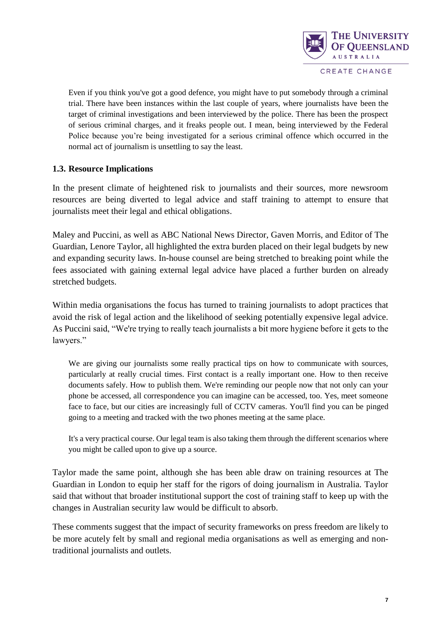

CREATE CHANGE

Even if you think you've got a good defence, you might have to put somebody through a criminal trial. There have been instances within the last couple of years, where journalists have been the target of criminal investigations and been interviewed by the police. There has been the prospect of serious criminal charges, and it freaks people out. I mean, being interviewed by the Federal Police because you're being investigated for a serious criminal offence which occurred in the normal act of journalism is unsettling to say the least.

### **1.3. Resource Implications**

In the present climate of heightened risk to journalists and their sources, more newsroom resources are being diverted to legal advice and staff training to attempt to ensure that journalists meet their legal and ethical obligations.

Maley and Puccini, as well as ABC National News Director, Gaven Morris, and Editor of The Guardian, Lenore Taylor, all highlighted the extra burden placed on their legal budgets by new and expanding security laws. In-house counsel are being stretched to breaking point while the fees associated with gaining external legal advice have placed a further burden on already stretched budgets.

Within media organisations the focus has turned to training journalists to adopt practices that avoid the risk of legal action and the likelihood of seeking potentially expensive legal advice. As Puccini said, "We're trying to really teach journalists a bit more hygiene before it gets to the lawyers."

We are giving our journalists some really practical tips on how to communicate with sources, particularly at really crucial times. First contact is a really important one. How to then receive documents safely. How to publish them. We're reminding our people now that not only can your phone be accessed, all correspondence you can imagine can be accessed, too. Yes, meet someone face to face, but our cities are increasingly full of CCTV cameras. You'll find you can be pinged going to a meeting and tracked with the two phones meeting at the same place.

It's a very practical course. Our legal team is also taking them through the different scenarios where you might be called upon to give up a source.

Taylor made the same point, although she has been able draw on training resources at The Guardian in London to equip her staff for the rigors of doing journalism in Australia. Taylor said that without that broader institutional support the cost of training staff to keep up with the changes in Australian security law would be difficult to absorb.

These comments suggest that the impact of security frameworks on press freedom are likely to be more acutely felt by small and regional media organisations as well as emerging and nontraditional journalists and outlets.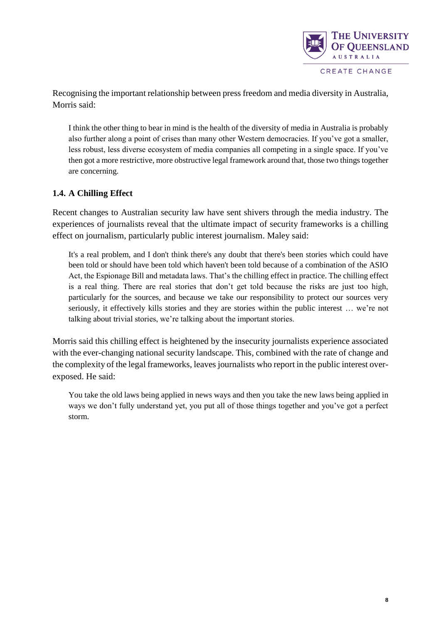

Recognising the important relationship between press freedom and media diversity in Australia, Morris said:

I think the other thing to bear in mind is the health of the diversity of media in Australia is probably also further along a point of crises than many other Western democracies. If you've got a smaller, less robust, less diverse ecosystem of media companies all competing in a single space. If you've then got a more restrictive, more obstructive legal framework around that, those two things together are concerning.

### **1.4. A Chilling Effect**

Recent changes to Australian security law have sent shivers through the media industry. The experiences of journalists reveal that the ultimate impact of security frameworks is a chilling effect on journalism, particularly public interest journalism. Maley said:

It's a real problem, and I don't think there's any doubt that there's been stories which could have been told or should have been told which haven't been told because of a combination of the ASIO Act, the Espionage Bill and metadata laws. That's the chilling effect in practice. The chilling effect is a real thing. There are real stories that don't get told because the risks are just too high, particularly for the sources, and because we take our responsibility to protect our sources very seriously, it effectively kills stories and they are stories within the public interest … we're not talking about trivial stories, we're talking about the important stories.

Morris said this chilling effect is heightened by the insecurity journalists experience associated with the ever-changing national security landscape. This, combined with the rate of change and the complexity of the legal frameworks, leaves journalists who report in the public interest overexposed. He said:

You take the old laws being applied in news ways and then you take the new laws being applied in ways we don't fully understand yet, you put all of those things together and you've got a perfect storm.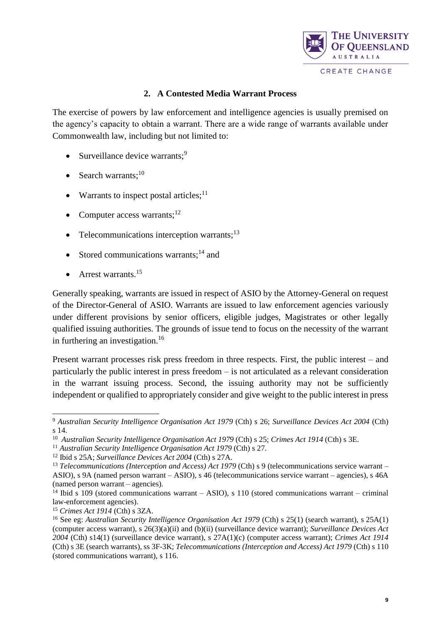

#### **2. A Contested Media Warrant Process**

The exercise of powers by law enforcement and intelligence agencies is usually premised on the agency's capacity to obtain a warrant. There are a wide range of warrants available under Commonwealth law, including but not limited to:

- $\bullet$  Surveillance device warrants;<sup>9</sup>
- Search warrants: $^{10}$
- Warrants to inspect postal articles; $<sup>11</sup>$ </sup>
- Computer access warrants; $^{12}$
- Telecommunications interception warrants; $^{13}$
- Stored communications warrants;<sup>14</sup> and
- $\bullet$  Arrest warrants.<sup>15</sup>

Generally speaking, warrants are issued in respect of ASIO by the Attorney-General on request of the Director-General of ASIO. Warrants are issued to law enforcement agencies variously under different provisions by senior officers, eligible judges, Magistrates or other legally qualified issuing authorities. The grounds of issue tend to focus on the necessity of the warrant in furthering an investigation.<sup>16</sup>

Present warrant processes risk press freedom in three respects. First, the public interest – and particularly the public interest in press freedom – is not articulated as a relevant consideration in the warrant issuing process. Second, the issuing authority may not be sufficiently independent or qualified to appropriately consider and give weight to the public interest in press

<sup>9</sup> *Australian Security Intelligence Organisation Act 1979* (Cth) s 26; *Surveillance Devices Act 2004* (Cth) s 14.

<sup>&</sup>lt;sup>10</sup> Australian Security Intelligence Organisation Act 1979 (Cth) s 25; *Crimes Act 1914* (Cth) s 3E.

<sup>&</sup>lt;sup>11</sup> Australian Security Intelligence Organisation Act 1979 (Cth) s 27.

<sup>12</sup> Ibid s 25A; *Surveillance Devices Act 2004* (Cth) s 27A.

<sup>&</sup>lt;sup>13</sup> *Telecommunications (Interception and Access) Act 1979 (Cth) s 9 (telecommunications service warrant –* ASIO), s 9A (named person warrant – ASIO), s 46 (telecommunications service warrant – agencies), s 46A (named person warrant – agencies).

<sup>&</sup>lt;sup>14</sup> Ibid s 109 (stored communications warrant – ASIO), s 110 (stored communications warrant – criminal law-enforcement agencies).

<sup>15</sup> *Crimes Act 1914* (Cth) s 3ZA.

<sup>&</sup>lt;sup>16</sup> See eg: *Australian Security Intelligence Organisation Act 1979* (Cth) s 25(1) (search warrant), s 25A(1) (computer access warrant), s 26(3)(a)(ii) and (b)(ii) (surveillance device warrant); *Surveillance Devices Act 2004* (Cth) s14(1) (surveillance device warrant), s 27A(1)(c) (computer access warrant); *Crimes Act 1914*  (Cth) s 3E (search warrants), ss 3F-3K; *Telecommunications (Interception and Access) Act 1979* (Cth) s 110 (stored communications warrant), s 116.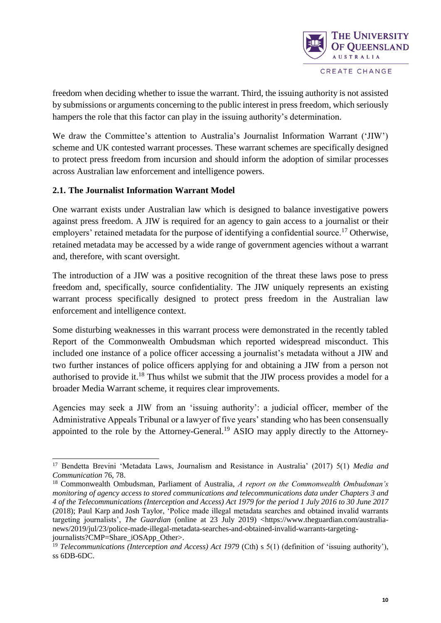

freedom when deciding whether to issue the warrant. Third, the issuing authority is not assisted by submissions or arguments concerning to the public interest in press freedom, which seriously hampers the role that this factor can play in the issuing authority's determination.

We draw the Committee's attention to Australia's Journalist Information Warrant ('JIW') scheme and UK contested warrant processes. These warrant schemes are specifically designed to protect press freedom from incursion and should inform the adoption of similar processes across Australian law enforcement and intelligence powers.

### **2.1. The Journalist Information Warrant Model**

l

One warrant exists under Australian law which is designed to balance investigative powers against press freedom. A JIW is required for an agency to gain access to a journalist or their employers' retained metadata for the purpose of identifying a confidential source.<sup>17</sup> Otherwise, retained metadata may be accessed by a wide range of government agencies without a warrant and, therefore, with scant oversight.

The introduction of a JIW was a positive recognition of the threat these laws pose to press freedom and, specifically, source confidentiality. The JIW uniquely represents an existing warrant process specifically designed to protect press freedom in the Australian law enforcement and intelligence context.

Some disturbing weaknesses in this warrant process were demonstrated in the recently tabled Report of the Commonwealth Ombudsman which reported widespread misconduct. This included one instance of a police officer accessing a journalist's metadata without a JIW and two further instances of police officers applying for and obtaining a JIW from a person not authorised to provide it.<sup>18</sup> Thus whilst we submit that the JIW process provides a model for a broader Media Warrant scheme, it requires clear improvements.

Agencies may seek a JIW from an 'issuing authority': a judicial officer, member of the Administrative Appeals Tribunal or a lawyer of five years' standing who has been consensually appointed to the role by the Attorney-General.<sup>19</sup> ASIO may apply directly to the Attorney-

<sup>17</sup> Bendetta Brevini 'Metadata Laws, Journalism and Resistance in Australia' (2017) 5(1) *Media and Communication* 76, 78.

<sup>18</sup> Commonwealth Ombudsman, Parliament of Australia, *A report on the Commonwealth Ombudsman's monitoring of agency access to stored communications and telecommunications data under Chapters 3 and 4 of the Telecommunications (Interception and Access) Act 1979 for the period 1 July 2016 to 30 June 2017* (2018); Paul Karp and Josh Taylor, 'Police made illegal metadata searches and obtained invalid warrants targeting journalists', *The Guardian* (online at 23 July 2019) <https://www.theguardian.com/australianews/2019/jul/23/police-made-illegal-metadata-searches-and-obtained-invalid-warrants-targetingjournalists?CMP=Share\_iOSApp\_Other>.

<sup>&</sup>lt;sup>19</sup> *Telecommunications (Interception and Access) Act 1979* (Cth) s 5(1) (definition of 'issuing authority'), ss 6DB-6DC.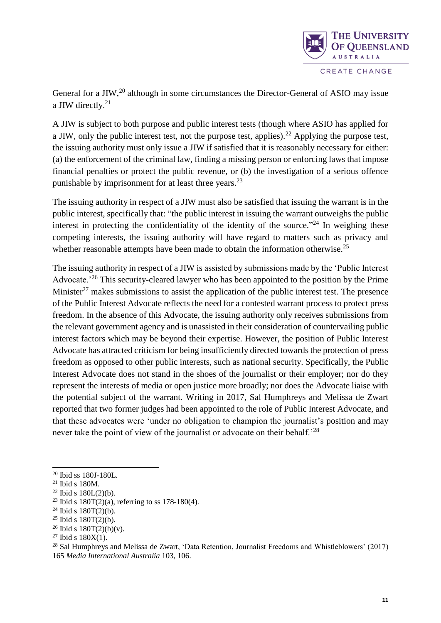

General for a JIW,<sup>20</sup> although in some circumstances the Director-General of ASIO may issue a JIW directly.<sup>21</sup>

A JIW is subject to both purpose and public interest tests (though where ASIO has applied for a JIW, only the public interest test, not the purpose test, applies).<sup>22</sup> Applying the purpose test, the issuing authority must only issue a JIW if satisfied that it is reasonably necessary for either: (a) the enforcement of the criminal law, finding a missing person or enforcing laws that impose financial penalties or protect the public revenue, or (b) the investigation of a serious offence punishable by imprisonment for at least three years. $^{23}$ 

The issuing authority in respect of a JIW must also be satisfied that issuing the warrant is in the public interest, specifically that: "the public interest in issuing the warrant outweighs the public interest in protecting the confidentiality of the identity of the source. $124$  In weighing these competing interests, the issuing authority will have regard to matters such as privacy and whether reasonable attempts have been made to obtain the information otherwise.<sup>25</sup>

The issuing authority in respect of a JIW is assisted by submissions made by the 'Public Interest Advocate.<sup>26</sup> This security-cleared lawyer who has been appointed to the position by the Prime Minister<sup>27</sup> makes submissions to assist the application of the public interest test. The presence of the Public Interest Advocate reflects the need for a contested warrant process to protect press freedom. In the absence of this Advocate, the issuing authority only receives submissions from the relevant government agency and is unassisted in their consideration of countervailing public interest factors which may be beyond their expertise. However, the position of Public Interest Advocate has attracted criticism for being insufficiently directed towards the protection of press freedom as opposed to other public interests, such as national security. Specifically, the Public Interest Advocate does not stand in the shoes of the journalist or their employer; nor do they represent the interests of media or open justice more broadly; nor does the Advocate liaise with the potential subject of the warrant. Writing in 2017, Sal Humphreys and Melissa de Zwart reported that two former judges had been appointed to the role of Public Interest Advocate, and that these advocates were 'under no obligation to champion the journalist's position and may never take the point of view of the journalist or advocate on their behalf.'<sup>28</sup>

- $25$  Ibid s 180T(2)(b).
- $26$  Ibid s  $180T(2)(b)(v)$ .
- $27$  Ibid s  $180X(1)$ .

<sup>20</sup> Ibid ss 180J-180L.

<sup>21</sup> Ibid s 180M.

 $22$  Ibid s  $180L(2)(b)$ .

<sup>&</sup>lt;sup>23</sup> Ibid s  $180T(2)(a)$ , referring to ss 178-180(4).

 $24$  Ibid s  $180T(2)(b)$ .

<sup>28</sup> Sal Humphreys and Melissa de Zwart, 'Data Retention, Journalist Freedoms and Whistleblowers' (2017) 165 *Media International Australia* 103, 106.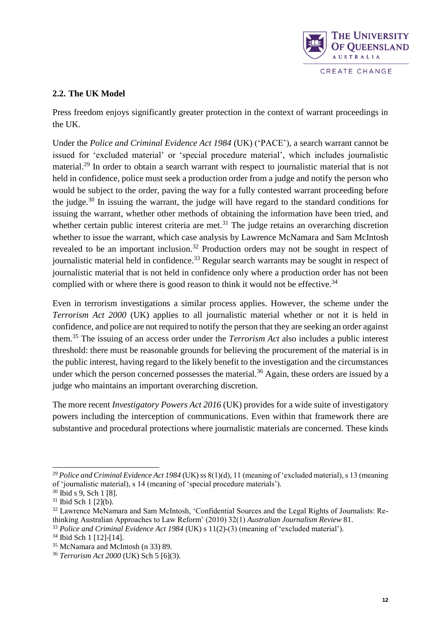

## **2.2. The UK Model**

Press freedom enjoys significantly greater protection in the context of warrant proceedings in the UK.

Under the *Police and Criminal Evidence Act 1984* (UK) ('PACE'), a search warrant cannot be issued for 'excluded material' or 'special procedure material', which includes journalistic material.<sup>29</sup> In order to obtain a search warrant with respect to journalistic material that is not held in confidence, police must seek a production order from a judge and notify the person who would be subject to the order, paving the way for a fully contested warrant proceeding before the judge.<sup>30</sup> In issuing the warrant, the judge will have regard to the standard conditions for issuing the warrant, whether other methods of obtaining the information have been tried, and whether certain public interest criteria are met.<sup>31</sup> The judge retains an overarching discretion whether to issue the warrant, which case analysis by Lawrence McNamara and Sam McIntosh revealed to be an important inclusion.<sup>32</sup> Production orders may not be sought in respect of journalistic material held in confidence.<sup>33</sup> Regular search warrants may be sought in respect of journalistic material that is not held in confidence only where a production order has not been complied with or where there is good reason to think it would not be effective.<sup>34</sup>

Even in terrorism investigations a similar process applies. However, the scheme under the *Terrorism Act 2000* (UK) applies to all journalistic material whether or not it is held in confidence, and police are not required to notify the person that they are seeking an order against them.<sup>35</sup> The issuing of an access order under the *Terrorism Act* also includes a public interest threshold: there must be reasonable grounds for believing the procurement of the material is in the public interest, having regard to the likely benefit to the investigation and the circumstances under which the person concerned possesses the material.<sup>36</sup> Again, these orders are issued by a judge who maintains an important overarching discretion.

The more recent *Investigatory Powers Act 2016* (UK) provides for a wide suite of investigatory powers including the interception of communications. Even within that framework there are substantive and procedural protections where journalistic materials are concerned. These kinds

<sup>&</sup>lt;sup>29</sup> *Police and Criminal Evidence Act 1984* (UK) ss 8(1)(d), 11 (meaning of 'excluded material), s 13 (meaning of 'journalistic material), s 14 (meaning of 'special procedure materials').

<sup>30</sup> Ibid s 9, Sch 1 [8].

 $31$  Ibid Sch 1 [2](b).

<sup>&</sup>lt;sup>32</sup> Lawrence McNamara and Sam McIntosh, 'Confidential Sources and the Legal Rights of Journalists: Rethinking Australian Approaches to Law Reform' (2010) 32(1) *Australian Journalism Review* 81.

<sup>&</sup>lt;sup>33</sup> Police and Criminal Evidence Act 1984 (UK) s 11(2)-(3) (meaning of 'excluded material').

<sup>34</sup> Ibid Sch 1 [12]-[14].

<sup>35</sup> McNamara and McIntosh (n 33) 89.

<sup>36</sup> *Terrorism Act 2000* (UK) Sch 5 [6](3).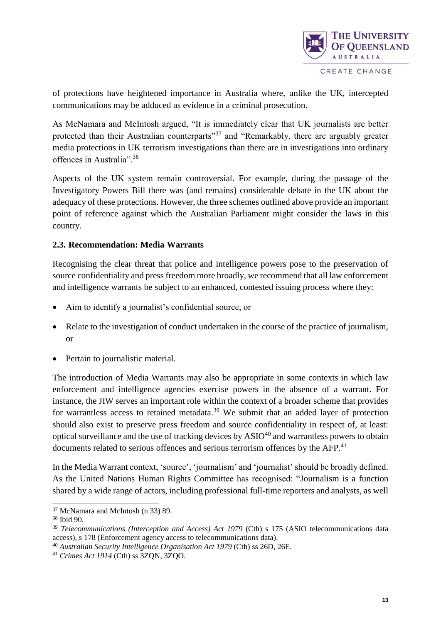

of protections have heightened importance in Australia where, unlike the UK, intercepted communications may be adduced as evidence in a criminal prosecution.

As McNamara and McIntosh argued, "It is immediately clear that UK journalists are better protected than their Australian counterparts"<sup>37</sup> and "Remarkably, there are arguably greater media protections in UK terrorism investigations than there are in investigations into ordinary offences in Australia".<sup>38</sup>

Aspects of the UK system remain controversial. For example, during the passage of the Investigatory Powers Bill there was (and remains) considerable debate in the UK about the adequacy of these protections. However, the three schemes outlined above provide an important point of reference against which the Australian Parliament might consider the laws in this country.

## **2.3. Recommendation: Media Warrants**

Recognising the clear threat that police and intelligence powers pose to the preservation of source confidentiality and press freedom more broadly, we recommend that all law enforcement and intelligence warrants be subject to an enhanced, contested issuing process where they:

- Aim to identify a journalist's confidential source, or
- Relate to the investigation of conduct undertaken in the course of the practice of journalism, or
- Pertain to journalistic material.

The introduction of Media Warrants may also be appropriate in some contexts in which law enforcement and intelligence agencies exercise powers in the absence of a warrant. For instance, the JIW serves an important role within the context of a broader scheme that provides for warrantless access to retained metadata.<sup>39</sup> We submit that an added layer of protection should also exist to preserve press freedom and source confidentiality in respect of, at least: optical surveillance and the use of tracking devices by  $ASIO^{40}$  and warrantless powers to obtain documents related to serious offences and serious terrorism offences by the AFP.<sup>41</sup>

In the Media Warrant context, 'source', 'journalism' and 'journalist' should be broadly defined. As the United Nations Human Rights Committee has recognised: "Journalism is a function shared by a wide range of actors, including professional full-time reporters and analysts, as well

<sup>37</sup> McNamara and McIntosh (n 33) 89.

<sup>38</sup> Ibid 90.

<sup>&</sup>lt;sup>39</sup> *Telecommunications (Interception and Access) Act 1979 (Cth) s 175 (ASIO telecommunications data* access), s 178 (Enforcement agency access to telecommunications data).

<sup>40</sup> *Australian Security Intelligence Organisation Act 1979* (Cth) ss 26D, 26E.

<sup>41</sup> *Crimes Act 1914* (Cth) ss 3ZQN, 3ZQO.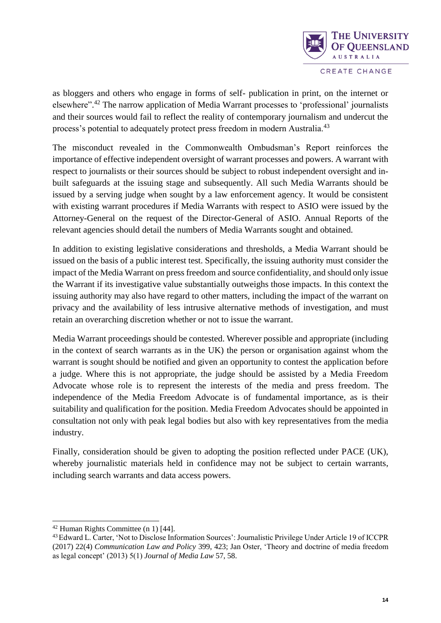

CREATE CHANGE

as bloggers and others who engage in forms of self- publication in print, on the internet or elsewhere".<sup>42</sup> The narrow application of Media Warrant processes to 'professional' journalists and their sources would fail to reflect the reality of contemporary journalism and undercut the process's potential to adequately protect press freedom in modern Australia.<sup>43</sup>

The misconduct revealed in the Commonwealth Ombudsman's Report reinforces the importance of effective independent oversight of warrant processes and powers. A warrant with respect to journalists or their sources should be subject to robust independent oversight and inbuilt safeguards at the issuing stage and subsequently. All such Media Warrants should be issued by a serving judge when sought by a law enforcement agency. It would be consistent with existing warrant procedures if Media Warrants with respect to ASIO were issued by the Attorney-General on the request of the Director-General of ASIO. Annual Reports of the relevant agencies should detail the numbers of Media Warrants sought and obtained.

In addition to existing legislative considerations and thresholds, a Media Warrant should be issued on the basis of a public interest test. Specifically, the issuing authority must consider the impact of the Media Warrant on press freedom and source confidentiality, and should only issue the Warrant if its investigative value substantially outweighs those impacts. In this context the issuing authority may also have regard to other matters, including the impact of the warrant on privacy and the availability of less intrusive alternative methods of investigation, and must retain an overarching discretion whether or not to issue the warrant.

Media Warrant proceedings should be contested. Wherever possible and appropriate (including in the context of search warrants as in the UK) the person or organisation against whom the warrant is sought should be notified and given an opportunity to contest the application before a judge. Where this is not appropriate, the judge should be assisted by a Media Freedom Advocate whose role is to represent the interests of the media and press freedom. The independence of the Media Freedom Advocate is of fundamental importance, as is their suitability and qualification for the position. Media Freedom Advocates should be appointed in consultation not only with peak legal bodies but also with key representatives from the media industry.

Finally, consideration should be given to adopting the position reflected under PACE (UK), whereby journalistic materials held in confidence may not be subject to certain warrants, including search warrants and data access powers.

<sup>42</sup> Human Rights Committee (n 1) [44].

<sup>43</sup>Edward L. Carter, 'Not to Disclose Information Sources': Journalistic Privilege Under Article 19 of ICCPR (2017) 22(4) *Communication Law and Policy* 399, 423; Jan Oster, 'Theory and doctrine of media freedom as legal concept' (2013) 5(1) *Journal of Media Law* 57, 58.